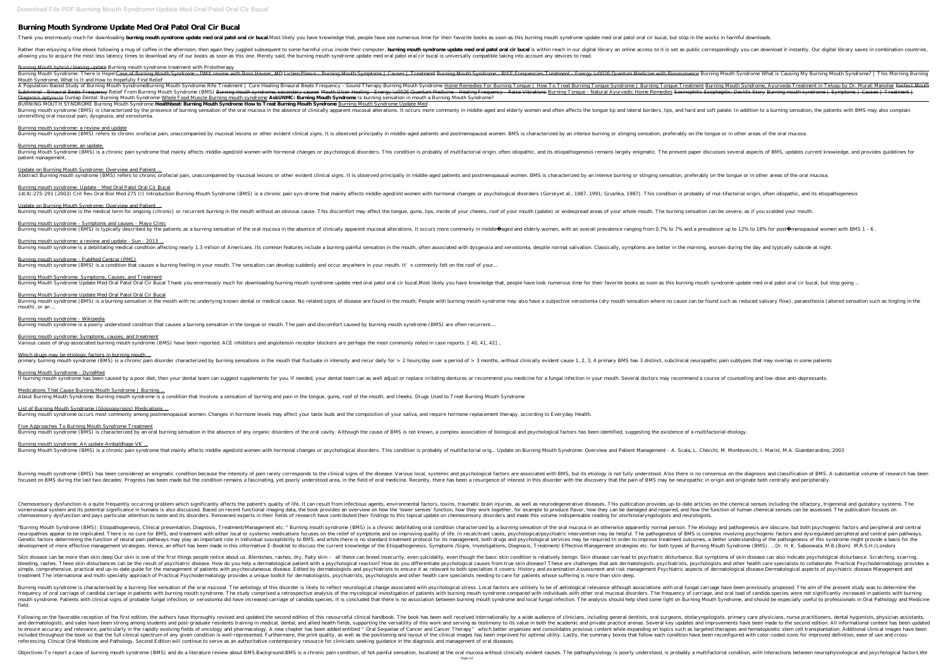## **Burning Mouth Syndrome Update Med Oral Patol Oral Cir Bucal**

Thank you enormously much for downloading **burning mouth syndrome update med oral patol oral cir bucal**. Most likely you have knowledge that, people have see numerous time for their favorite books as soon as this burning m

Rather than enjoying a fine ebook following a mug of coffee in the afternoon, then again they juggled subsequent to some harmful virus inside their computer. burning mouth syndrome update med oral patol oral cir bucal is w allowing you to acquire the most less latency times to download any of our books as soon as this one. Merely said, the burning mouth syndrome update med oral patol oral cir bucal is universally compatible taking into accou

Burning Mouth hybrid cleaning update Burning mouth syndrome treatment with Prolotherapy

Burning Mouth Syndrome: There is Hope!<del>Case of Burning Mouth Syndrome - DMX review with Ross Hauser, MD Lichen Planus - Burning Mouth Symptoms | Causes | Treatment - Energy \u0026 Quantum Medicine with Bioresonance Burning</del> *Mouth Syndrome, What Is It and How to Hopefully Find Relief*

I Cure Healing Binaural Beats Frequency - Sound Therapy Burning Mouth Syndrome Rife Treatment / Cure Healing Binaural Beats Frequency - Sound Therapy Burning Tongue | How To Treat Burning Tongue Treatment Burning Mouth Syn Subliminal - Binaural Beats Frequency Relief From Burning Mouth Syndrome (BMS) <del>Burning mouth syndrome, secondary causes</del> M<del>outh Ulcer Healing Frequency - Raise Vibrations Burning Tongue - Natural Ayurvedic Home Remedies E</del> Diagnosis aptyou.in Dunlap Dental: Burning Mouth Syndrome Whole Food Muscle Burning mouth syndrome AskUNMC: Burning Mouth Syndrome Is burning sensation in mouth a Burning Mouth Syndrome? BURNING MOUTH SYNDROME Burning Mouth Syndrome **Healthbeat: Burning Mouth Syndrome How to Treat Burning Mouth Syndrome** Burning Mouth Syndrome Update Med Burning mouth syndrome (BMS) is characterized by the presence of burning sensation of the oral mucosa in the absence of clinically apparent mucosal alterations. It occurs more commonly in middle-aged and lateral borders, l unremitting oral mucosal pain, dysgeusia, and xerostomia.

Burning Mouth Syndrome (BMS) is a chronic pain syndrome that mainly affects middle-aged/old women with hormonal changes or psychological disorders. This condition is probably of multifactorial origin, often idiopathic, and patient management.

Update on Burning Mouth Syndrome: Overview and Patient ... Abstract Burning mouth syndrome (BMS) refers to chronic orofacial pain, unaccompanied by mucosal lesions or other evident clinical signs. It is observed principally in middle-aged patients and postmenopausal women. BMS is

Burning mouth syndrome: Update - Med Oral Patol Oral Cir Bucal 14(4):275-291 (2003) Crit Rev Oral Biol Med 275 (I) Introduction Burning Mouth Syndrome (BMS) is a chronic pain syn-drome that mainly affects middle-aged/old women with hormonal changes or psychological disorders (Gorskyet

Update on Burning Mouth Syndrome: Overview and Patient ... Burning mouth syndrome is the medical term for ongoing (chronic) or recurrent burning in the mouth without an obvious cause. This discomfort may affect the tongue, gums, lips, inside of your mouth (palate) or widespread ar

Burning mouth syndrome - Symptoms and causes - Mayo Clinic Burning mouth syndrome (BMS) is typically described by the patients as a burning sensation of the oral mucosa in the absence of clinically apparent mucosal alterations. It occurs more commonly in middle aged and elderly wo

Burning mouth syndrome: a review and update - Sun - 2013 ... Burning mouth syndrome is a debilitating medical condition affecting nearly 1.3 million of Americans. Its common features include a burning painful sensation in the mouth, often associated with dysgeusia and xerostomia, de

Burning mouth syndrome - PubMed Central (PMC) Burning mouth syndrome (BMS) is a condition that causes a burning feeling in your mouth. The sensation can develop suddenly and occur anywhere in your mouth. It's commonly felt on the roof of your..

Burning Mouth Syndrome: Symptoms, Causes, and Treatment Burning Mouth Syndrome Update Med Oral Patol Oral Cir Bucal Thank you enormously much for downloading burning mouth syndrome update med oral patol oral cir bucal.Most likely you have knowledge that, people have looks as so

Burning mouth syndrome: a review and update

Burning mouth syndrome (BMS) refers to chronic orofacial pain, unaccompanied by mucosal lesions or other evident clinical signs. It is observed principally in middle-aged patients and postmenopausal women. BMS is character

Burning mouth syndrome: an update.

Burning mouth syndrome (BMS) is a burning sensation in the mouth with no underlying known dental or medical cause. No related signs of disease are found in the mouth sensation where no cause can be found such as reduced sa mouth), or an ...

List of Burning Mouth Syndrome (Glossopyrosis) Medications ... Burning mouth syndrome occurs most commonly among postmenopausal women. Changes in hormone levels may affect your taste buds and the composition of your saliva, and require hormone replacement therapy, according to Everyda

Five Approaches To Burning Mouth Syndrome Treatment Burning mouth syndrome (BMS) is characterized by an oral burning sensation in the absence of any organic disorders of the oral cavity. Although the cause of BMS is not known, a complex association of biological and psychol

Burning mouth syndrome: An update Ambaldhage VK ... Burning Mouth Syndrome (BMS) is a chronic pain syndrome that mainly affects middle-aged/old women with hormonal changes or psychological disorders. This condition is probably of multifactorial orig... Update on Burning Mou

Burning mouth syndrome (BMS) has been considered an enigmatic condition because the intensity of pain rarely corresponds to the clinical signs of the diagnosis and classification of BMS. A substantial volume of research ha focused on BMS during the last two decades. Progress has been made but the condition remains a fascinating, yet poorly understood area, in the field of oral medicine. Recently, there has been a resurgence of interest in th

Chemosensory dysfunction is a quite frequently occurring problem which significantly affects the patient's quality of life. It can result from infectious agents, environmental factors, toxins, traumatic brain injuries, as vomeronasal system and its potential significance in humans is also discussed. Based on recent functional imaging data, the book provides an overview on how they work together, for example to produce flavor, how the lower chemosensory dysfunction and pays particular attention to taste and its disorders. Renowned experts in their fields of research have contributed their findings to this topical update on chemosensory disorders and made this

"Burning Mouth Syndrome (BMS): Etiopathogenesis, Clinical presentation, Diagnosis, Treatment/Management etc. " Burning mouth syndrome (BMS) is a chronic debilitating oral condition characterized by a burning sensation of t neuropathies appear to be implicated. There is no cure for BMS, and treatment with either local or systemic medications focuses on the relief of symptoms and on improving quality of life. In recalcitrant cases, psychologic Genetic factors determining the function of neural pain pathways may play an important role in individual susceptibility to BMS, and while there is no standard treatment outcomes, a better understanding of the pathogenesis development of more effective management strategies. Hence, an effort has been made in this informative E-Booklet to discuss the current knowledge of the Etiopathogenesis, Symptoms /Signs, Investigations, Diagnosis, Treatm

Skin disease can be more than skin deep Our skin is one of the first things people notice about us. Blemishes, rashes, dry, flaky skin – all these can breed insecurity, even suicidality, even suicidality, even suicidality, bleeding, rashes. These skin disturbances can be the result of psychiatric disease. How do you help a dermatological patient with a psychologists, psychologists and other health care specialists to collaborate. Practical P simple, comprehensive, practical and up-to-date guide for the management of patients with psychocutaneous disease. Edited by dermatologists and psychiatric aspects of dermatological disease Dermatological aspects of psychi treatment The international and multi-specialty approach of Practical Psychodermatology provides a unique toolkit for dermatologists, psychologists and other health care specialists needing to care for patients whose suffe

Burning Mouth Syndrome Update Med Oral Patol Oral Cir Bucal

Burning mouth syndrome - Wikipedia

Burning mouth syndrome is a poorly understood condition that causes a burning sensation in the tongue or mouth. The pain and discomfort caused by burning mouth syndrome (BMS) are often recurrent....

Burning mouth syndrome: Symptoms, causes, and treatment Various cases of drug-associated burning mouth syndrome (BMS) have been reported. ACE inhibitors and angiotensin receptor blockers are perhaps the most commonly noted in case reports. [ 40, 41, 42]...

Which drugs may be etiologic factors in burning mouth... nouth syndrome (BMS) is a chronic pain disorder characterized by burning sensations in the mouth that fluctuate in intensity and recur daily for > 2 hours/day over a period of > 3 months, without clinically evident cause 1

Burning mouth syndrome is characterised by a burning-like sensation of the oral mucosal. The aetiology of this disorder is likely to reflect neurological stress. Local factors are unlikely to be of aetiological change asso frequency of oral carriage of candidal carriage in patients with burning mouth syndrome. The study comprised a retrospective analysis of the mycological investigation of patients with burning mouth syndrome compared with i nouth syndrome. Patients with clinical signs of probable fungal infection, or xerostomia did have increased carriage of candida species. It is concluded that there is no association between burning mouth Syndrome, and shou field.

Burning Mouth Syndrome - DynaMed

If burning mouth syndrome has been caused by a poor diet, then your dental team can suggest supplements for you. If needed, your dental team can as well adjust or replace irritating dentures or recommend you medicine for a

Medications That Cause Burning Mouth Syndrome | Burning ... About Burning Mouth Syndrome: Burning mouth syndrome is a condition that involves a sensation of burning and pain in the tongue, gums, roof of the mouth, and cheeks. Drugs Used to Treat Burning Mouth Syndrome

Following on the favorable reception of the first edition, the authors have thoroughly revised and updated the second edition of this resourceful clinical handbook. The book has been well received internationally by a wide and sales have been strong among students and post-graduate residents training in medical, dental, and allied health fields, supporting the versatility of this work and serving as testimony to its value in both the academi to ensure accuracy and relevance, particularly in the rapidly evolving fields of oncology and pharmacology. A new chapter has been added entitled " Oral Sequelae of Cancer Therapy" which better organizes and consolidates p included throughout the book so that the full clinical spectrum of any given condition is well-represented. Furthermore, the print quality, as well as the positioning and layout of the clinical images has been improved for referencing. Clinical Oral Medicine and Pathology, Second Edition will continue to serve as an authoritative contemporary resource for clinicians seeking guidance in the diagnosis and management of oral diseases.

Objectives:To report a case of burning mouth syndrome (BMS) and do a literature review about BMS.Background:BMS is a chronic pain condition, of hot painful sensation, with interactions between neurophysiological and psycho Page 1/2